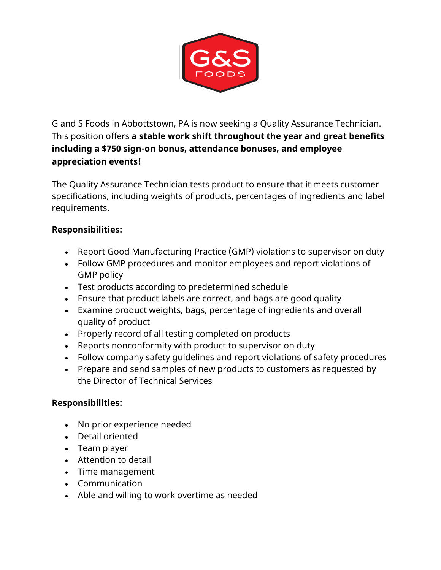

G and S Foods in Abbottstown, PA is now seeking a Quality Assurance Technician. This position offers **a stable work shift throughout the year and great benefits including a \$750 sign-on bonus, attendance bonuses, and employee appreciation events!**

The Quality Assurance Technician tests product to ensure that it meets customer specifications, including weights of products, percentages of ingredients and label requirements.

## **Responsibilities:**

- Report Good Manufacturing Practice (GMP) violations to supervisor on duty
- Follow GMP procedures and monitor employees and report violations of GMP policy
- Test products according to predetermined schedule
- Ensure that product labels are correct, and bags are good quality
- Examine product weights, bags, percentage of ingredients and overall quality of product
- Properly record of all testing completed on products
- Reports nonconformity with product to supervisor on duty
- Follow company safety guidelines and report violations of safety procedures
- Prepare and send samples of new products to customers as requested by the Director of Technical Services

## **Responsibilities:**

- No prior experience needed
- Detail oriented
- Team player
- Attention to detail
- Time management
- Communication
- Able and willing to work overtime as needed